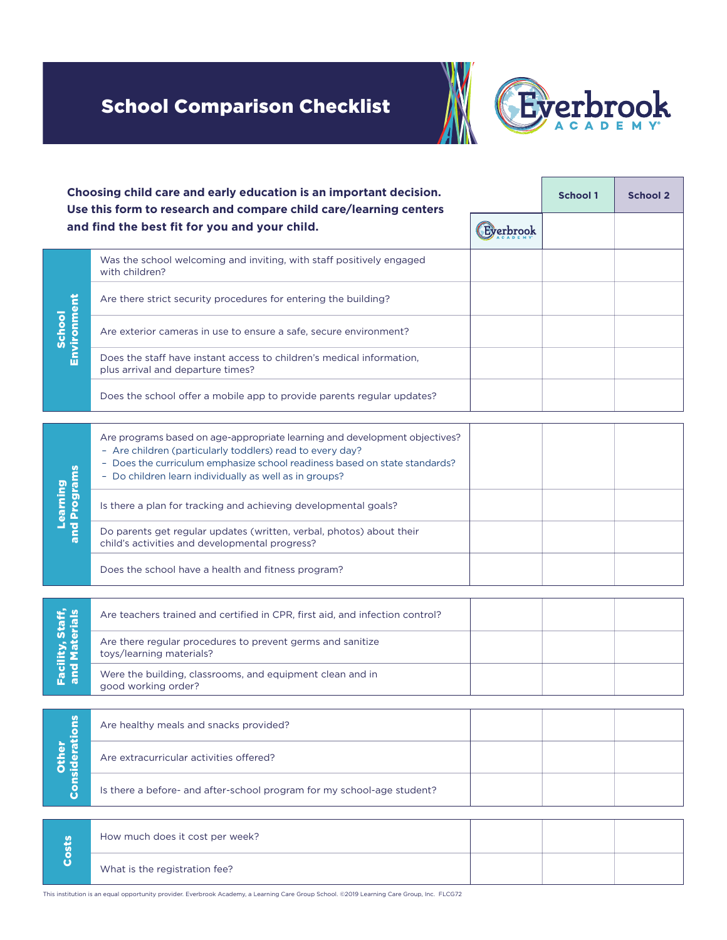## School Comparison Checklist



| Choosing child care and early education is an important decision.<br>Use this form to research and compare child care/learning centers |                                                                                                                                                                                                                                                                                 |           | <b>School 1</b> | <b>School 2</b> |
|----------------------------------------------------------------------------------------------------------------------------------------|---------------------------------------------------------------------------------------------------------------------------------------------------------------------------------------------------------------------------------------------------------------------------------|-----------|-----------------|-----------------|
|                                                                                                                                        | and find the best fit for you and your child.                                                                                                                                                                                                                                   | Everbrook |                 |                 |
| Environment<br><b>School</b>                                                                                                           | Was the school welcoming and inviting, with staff positively engaged<br>with children?                                                                                                                                                                                          |           |                 |                 |
|                                                                                                                                        | Are there strict security procedures for entering the building?                                                                                                                                                                                                                 |           |                 |                 |
|                                                                                                                                        | Are exterior cameras in use to ensure a safe, secure environment?                                                                                                                                                                                                               |           |                 |                 |
|                                                                                                                                        | Does the staff have instant access to children's medical information.<br>plus arrival and departure times?                                                                                                                                                                      |           |                 |                 |
|                                                                                                                                        | Does the school offer a mobile app to provide parents regular updates?                                                                                                                                                                                                          |           |                 |                 |
| and Programs<br>Learning                                                                                                               | Are programs based on age-appropriate learning and development objectives?<br>- Are children (particularly toddlers) read to every day?<br>- Does the curriculum emphasize school readiness based on state standards?<br>- Do children learn individually as well as in groups? |           |                 |                 |
|                                                                                                                                        | Is there a plan for tracking and achieving developmental goals?                                                                                                                                                                                                                 |           |                 |                 |
|                                                                                                                                        | Do parents get regular updates (written, verbal, photos) about their<br>child's activities and developmental progress?                                                                                                                                                          |           |                 |                 |
|                                                                                                                                        | Does the school have a health and fitness program?                                                                                                                                                                                                                              |           |                 |                 |
| Facility, Staff,<br>and Materials                                                                                                      | Are teachers trained and certified in CPR, first aid, and infection control?                                                                                                                                                                                                    |           |                 |                 |
|                                                                                                                                        | Are there regular procedures to prevent germs and sanitize<br>toys/learning materials?                                                                                                                                                                                          |           |                 |                 |
|                                                                                                                                        | Were the building, classrooms, and equipment clean and in<br>good working order?                                                                                                                                                                                                |           |                 |                 |
|                                                                                                                                        |                                                                                                                                                                                                                                                                                 |           |                 |                 |
| Considerations<br>Other                                                                                                                | Are healthy meals and snacks provided?                                                                                                                                                                                                                                          |           |                 |                 |
|                                                                                                                                        | Are extracurricular activities offered?                                                                                                                                                                                                                                         |           |                 |                 |
|                                                                                                                                        | Is there a before- and after-school program for my school-age student?                                                                                                                                                                                                          |           |                 |                 |
|                                                                                                                                        |                                                                                                                                                                                                                                                                                 |           |                 |                 |
| Costs                                                                                                                                  | How much does it cost per week?                                                                                                                                                                                                                                                 |           |                 |                 |
|                                                                                                                                        | What is the registration fee?                                                                                                                                                                                                                                                   |           |                 |                 |

This institution is an equal opportunity provider. Everbrook Academy, a Learning Care Group School. ©2019 Learning Care Group, Inc. FLCG72